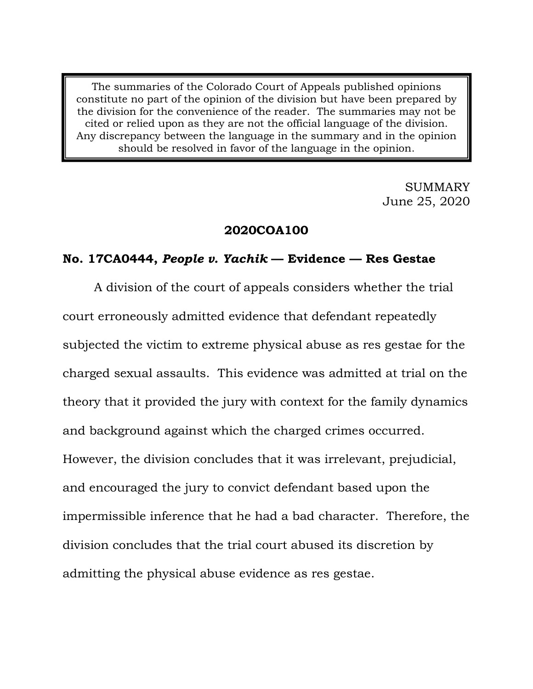The summaries of the Colorado Court of Appeals published opinions constitute no part of the opinion of the division but have been prepared by the division for the convenience of the reader. The summaries may not be cited or relied upon as they are not the official language of the division. Any discrepancy between the language in the summary and in the opinion should be resolved in favor of the language in the opinion.

> SUMMARY June 25, 2020

### **2020COA100**

# **No. 17CA0444,** *People v. Yachik* **— Evidence — Res Gestae**

A division of the court of appeals considers whether the trial court erroneously admitted evidence that defendant repeatedly subjected the victim to extreme physical abuse as res gestae for the charged sexual assaults. This evidence was admitted at trial on the theory that it provided the jury with context for the family dynamics and background against which the charged crimes occurred. However, the division concludes that it was irrelevant, prejudicial, and encouraged the jury to convict defendant based upon the impermissible inference that he had a bad character. Therefore, the division concludes that the trial court abused its discretion by admitting the physical abuse evidence as res gestae.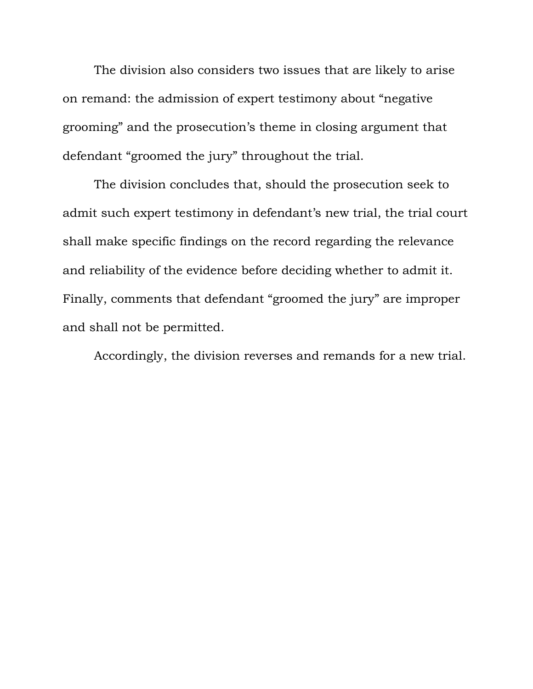The division also considers two issues that are likely to arise on remand: the admission of expert testimony about "negative grooming" and the prosecution's theme in closing argument that defendant "groomed the jury" throughout the trial.

The division concludes that, should the prosecution seek to admit such expert testimony in defendant's new trial, the trial court shall make specific findings on the record regarding the relevance and reliability of the evidence before deciding whether to admit it. Finally, comments that defendant "groomed the jury" are improper and shall not be permitted.

Accordingly, the division reverses and remands for a new trial.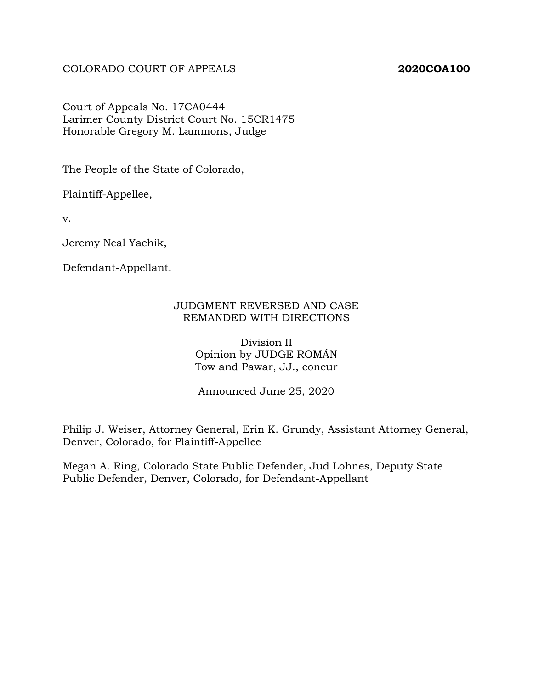#### Court of Appeals No. 17CA0444 Larimer County District Court No. 15CR1475 Honorable Gregory M. Lammons, Judge

The People of the State of Colorado,

Plaintiff-Appellee,

v.

Jeremy Neal Yachik,

Defendant-Appellant.

#### JUDGMENT REVERSED AND CASE REMANDED WITH DIRECTIONS

Division II Opinion by JUDGE ROMÁN Tow and Pawar, JJ., concur

Announced June 25, 2020

Philip J. Weiser, Attorney General, Erin K. Grundy, Assistant Attorney General, Denver, Colorado, for Plaintiff-Appellee

Megan A. Ring, Colorado State Public Defender, Jud Lohnes, Deputy State Public Defender, Denver, Colorado, for Defendant-Appellant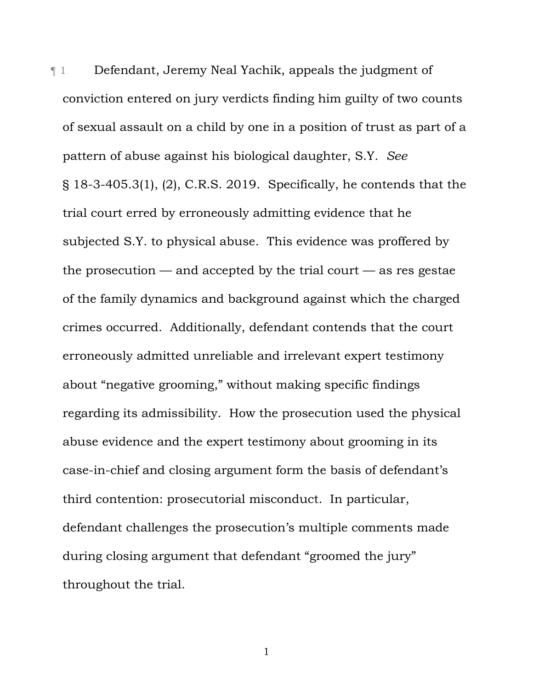¶ 1 Defendant, Jeremy Neal Yachik, appeals the judgment of conviction entered on jury verdicts finding him guilty of two counts of sexual assault on a child by one in a position of trust as part of a pattern of abuse against his biological daughter, S.Y. *See* § 18-3-405.3(1), (2), C.R.S. 2019. Specifically, he contends that the trial court erred by erroneously admitting evidence that he subjected S.Y. to physical abuse. This evidence was proffered by the prosecution  $-$  and accepted by the trial court  $-$  as res gestae of the family dynamics and background against which the charged crimes occurred. Additionally, defendant contends that the court erroneously admitted unreliable and irrelevant expert testimony about "negative grooming," without making specific findings regarding its admissibility. How the prosecution used the physical abuse evidence and the expert testimony about grooming in its case-in-chief and closing argument form the basis of defendant's third contention: prosecutorial misconduct. In particular, defendant challenges the prosecution's multiple comments made during closing argument that defendant "groomed the jury" throughout the trial.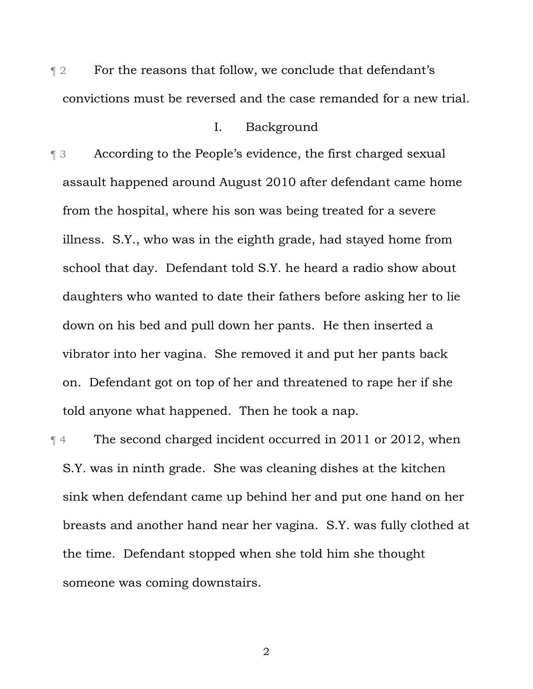**The Form that follow, we conclude that defendant's** convictions must be reversed and the case remanded for a new trial.

# I. Background

¶ 3 According to the People's evidence, the first charged sexual assault happened around August 2010 after defendant came home from the hospital, where his son was being treated for a severe illness. S.Y., who was in the eighth grade, had stayed home from school that day. Defendant told S.Y. he heard a radio show about daughters who wanted to date their fathers before asking her to lie down on his bed and pull down her pants. He then inserted a vibrator into her vagina. She removed it and put her pants back on. Defendant got on top of her and threatened to rape her if she told anyone what happened. Then he took a nap.

¶ 4 The second charged incident occurred in 2011 or 2012, when S.Y. was in ninth grade. She was cleaning dishes at the kitchen sink when defendant came up behind her and put one hand on her breasts and another hand near her vagina. S.Y. was fully clothed at the time. Defendant stopped when she told him she thought someone was coming downstairs.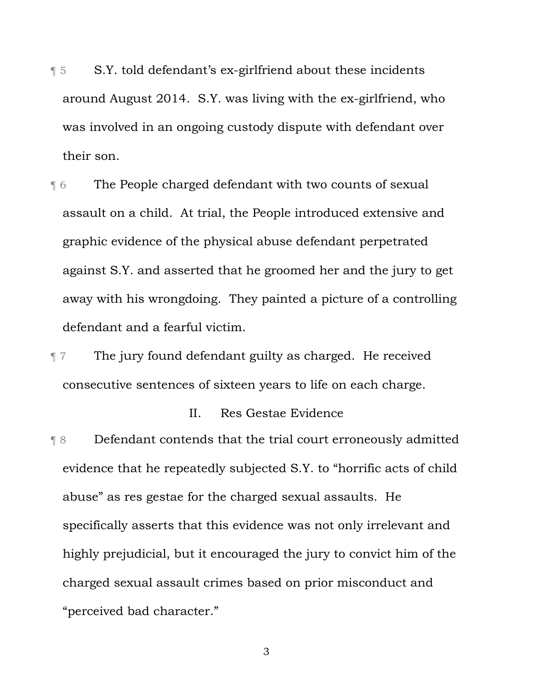- ¶ 5 S.Y. told defendant's ex-girlfriend about these incidents around August 2014. S.Y. was living with the ex-girlfriend, who was involved in an ongoing custody dispute with defendant over their son.
- ¶ 6 The People charged defendant with two counts of sexual assault on a child. At trial, the People introduced extensive and graphic evidence of the physical abuse defendant perpetrated against S.Y. and asserted that he groomed her and the jury to get away with his wrongdoing. They painted a picture of a controlling defendant and a fearful victim.
- ¶ 7 The jury found defendant guilty as charged. He received consecutive sentences of sixteen years to life on each charge.

### II. Res Gestae Evidence

¶ 8 Defendant contends that the trial court erroneously admitted evidence that he repeatedly subjected S.Y. to "horrific acts of child abuse" as res gestae for the charged sexual assaults. He specifically asserts that this evidence was not only irrelevant and highly prejudicial, but it encouraged the jury to convict him of the charged sexual assault crimes based on prior misconduct and "perceived bad character."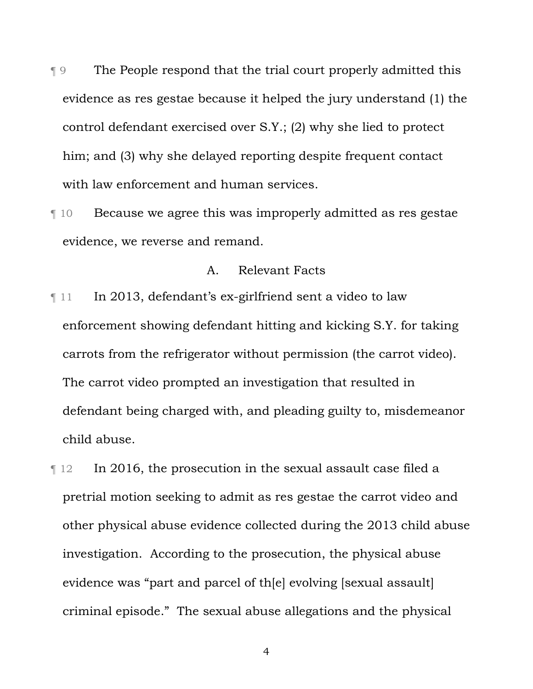- ¶ 9 The People respond that the trial court properly admitted this evidence as res gestae because it helped the jury understand (1) the control defendant exercised over S.Y.; (2) why she lied to protect him; and (3) why she delayed reporting despite frequent contact with law enforcement and human services.
- ¶ 10 Because we agree this was improperly admitted as res gestae evidence, we reverse and remand.

### A. Relevant Facts

- $\llbracket$  11 In 2013, defendant's ex-girlfriend sent a video to law enforcement showing defendant hitting and kicking S.Y. for taking carrots from the refrigerator without permission (the carrot video). The carrot video prompted an investigation that resulted in defendant being charged with, and pleading guilty to, misdemeanor child abuse.
- ¶ 12 In 2016, the prosecution in the sexual assault case filed a pretrial motion seeking to admit as res gestae the carrot video and other physical abuse evidence collected during the 2013 child abuse investigation. According to the prosecution, the physical abuse evidence was "part and parcel of th[e] evolving [sexual assault] criminal episode." The sexual abuse allegations and the physical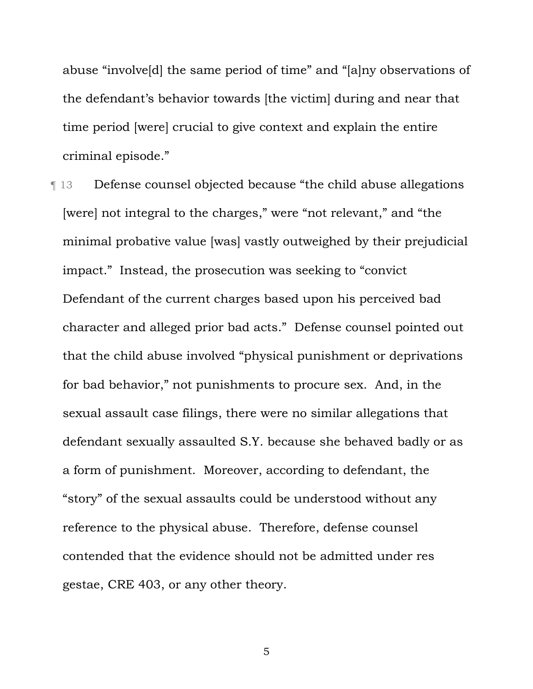abuse "involve[d] the same period of time" and "[a]ny observations of the defendant's behavior towards [the victim] during and near that time period [were] crucial to give context and explain the entire criminal episode."

¶ 13 Defense counsel objected because "the child abuse allegations [were] not integral to the charges," were "not relevant," and "the minimal probative value [was] vastly outweighed by their prejudicial impact." Instead, the prosecution was seeking to "convict Defendant of the current charges based upon his perceived bad character and alleged prior bad acts." Defense counsel pointed out that the child abuse involved "physical punishment or deprivations for bad behavior," not punishments to procure sex. And, in the sexual assault case filings, there were no similar allegations that defendant sexually assaulted S.Y. because she behaved badly or as a form of punishment. Moreover, according to defendant, the "story" of the sexual assaults could be understood without any reference to the physical abuse. Therefore, defense counsel contended that the evidence should not be admitted under res gestae, CRE 403, or any other theory.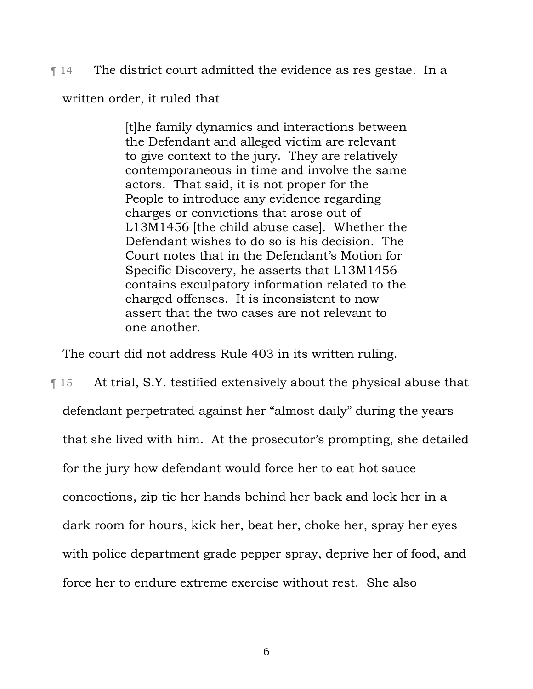¶ 14 The district court admitted the evidence as res gestae. In a

written order, it ruled that

[t]he family dynamics and interactions between the Defendant and alleged victim are relevant to give context to the jury. They are relatively contemporaneous in time and involve the same actors. That said, it is not proper for the People to introduce any evidence regarding charges or convictions that arose out of L13M1456 [the child abuse case]. Whether the Defendant wishes to do so is his decision. The Court notes that in the Defendant's Motion for Specific Discovery, he asserts that L13M1456 contains exculpatory information related to the charged offenses. It is inconsistent to now assert that the two cases are not relevant to one another.

The court did not address Rule 403 in its written ruling.

¶ 15 At trial, S.Y. testified extensively about the physical abuse that defendant perpetrated against her "almost daily" during the years that she lived with him. At the prosecutor's prompting, she detailed for the jury how defendant would force her to eat hot sauce concoctions, zip tie her hands behind her back and lock her in a dark room for hours, kick her, beat her, choke her, spray her eyes with police department grade pepper spray, deprive her of food, and force her to endure extreme exercise without rest. She also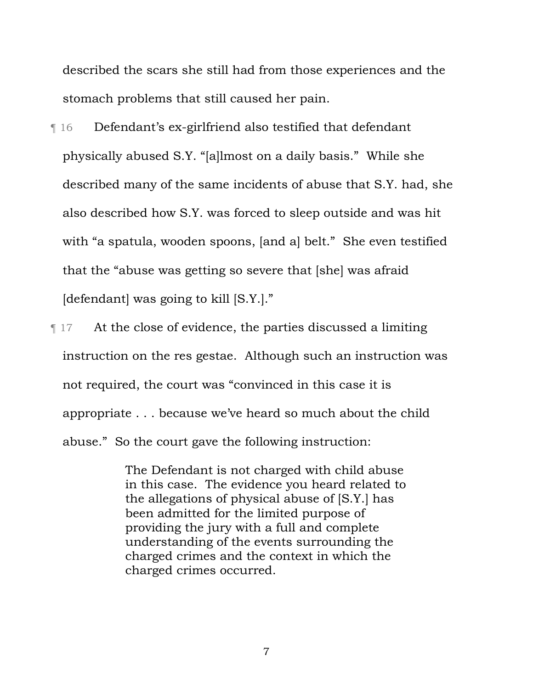described the scars she still had from those experiences and the stomach problems that still caused her pain.

¶ 16 Defendant's ex-girlfriend also testified that defendant physically abused S.Y. "[a]lmost on a daily basis." While she described many of the same incidents of abuse that S.Y. had, she also described how S.Y. was forced to sleep outside and was hit with "a spatula, wooden spoons, [and a] belt." She even testified that the "abuse was getting so severe that [she] was afraid [defendant] was going to kill [S.Y.]."

¶ 17 At the close of evidence, the parties discussed a limiting instruction on the res gestae. Although such an instruction was not required, the court was "convinced in this case it is appropriate . . . because we've heard so much about the child abuse." So the court gave the following instruction:

> The Defendant is not charged with child abuse in this case. The evidence you heard related to the allegations of physical abuse of [S.Y.] has been admitted for the limited purpose of providing the jury with a full and complete understanding of the events surrounding the charged crimes and the context in which the charged crimes occurred.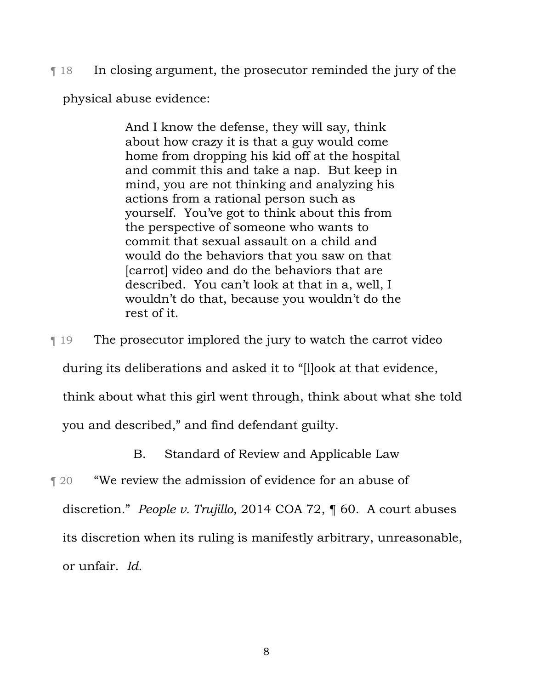¶ 18 In closing argument, the prosecutor reminded the jury of the

physical abuse evidence:

And I know the defense, they will say, think about how crazy it is that a guy would come home from dropping his kid off at the hospital and commit this and take a nap. But keep in mind, you are not thinking and analyzing his actions from a rational person such as yourself. You've got to think about this from the perspective of someone who wants to commit that sexual assault on a child and would do the behaviors that you saw on that [carrot] video and do the behaviors that are described. You can't look at that in a, well, I wouldn't do that, because you wouldn't do the rest of it.

¶ 19 The prosecutor implored the jury to watch the carrot video

during its deliberations and asked it to "[l]ook at that evidence,

think about what this girl went through, think about what she told

you and described," and find defendant guilty.

B. Standard of Review and Applicable Law

¶ 20 "We review the admission of evidence for an abuse of discretion." *People v. Trujillo*, 2014 COA 72, ¶ 60. A court abuses its discretion when its ruling is manifestly arbitrary, unreasonable, or unfair. *Id.*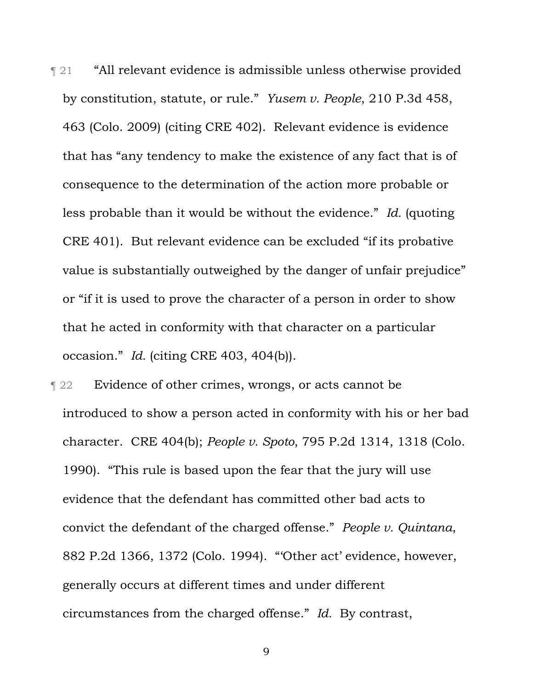¶ 21 "All relevant evidence is admissible unless otherwise provided by constitution, statute, or rule." *Yusem v. People*, 210 P.3d 458, 463 (Colo. 2009) (citing CRE 402). Relevant evidence is evidence that has "any tendency to make the existence of any fact that is of consequence to the determination of the action more probable or less probable than it would be without the evidence." *Id.* (quoting CRE 401). But relevant evidence can be excluded "if its probative value is substantially outweighed by the danger of unfair prejudice" or "if it is used to prove the character of a person in order to show that he acted in conformity with that character on a particular occasion." *Id.* (citing CRE 403, 404(b)).

**Text** 22 Evidence of other crimes, wrongs, or acts cannot be introduced to show a person acted in conformity with his or her bad character. CRE 404(b); *People v. Spoto*, 795 P.2d 1314, 1318 (Colo. 1990). "This rule is based upon the fear that the jury will use evidence that the defendant has committed other bad acts to convict the defendant of the charged offense." *People v. Quintana*, 882 P.2d 1366, 1372 (Colo. 1994). "'Other act' evidence, however, generally occurs at different times and under different circumstances from the charged offense." *Id.* By contrast,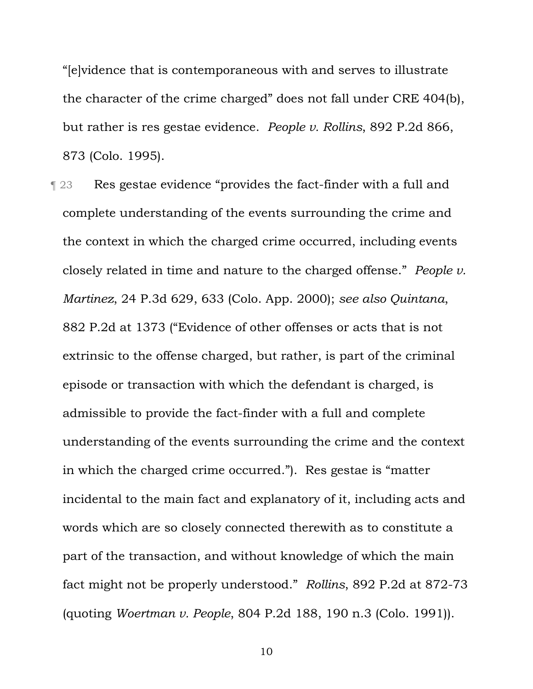"[e]vidence that is contemporaneous with and serves to illustrate the character of the crime charged" does not fall under CRE 404(b), but rather is res gestae evidence. *People v. Rollins*, 892 P.2d 866, 873 (Colo. 1995).

**The 23** Res gestae evidence "provides the fact-finder with a full and complete understanding of the events surrounding the crime and the context in which the charged crime occurred, including events closely related in time and nature to the charged offense." *People v. Martinez*, 24 P.3d 629, 633 (Colo. App. 2000); *see also Quintana*, 882 P.2d at 1373 ("Evidence of other offenses or acts that is not extrinsic to the offense charged, but rather, is part of the criminal episode or transaction with which the defendant is charged, is admissible to provide the fact-finder with a full and complete understanding of the events surrounding the crime and the context in which the charged crime occurred."). Res gestae is "matter incidental to the main fact and explanatory of it, including acts and words which are so closely connected therewith as to constitute a part of the transaction, and without knowledge of which the main fact might not be properly understood." *Rollins*, 892 P.2d at 872-73 (quoting *Woertman v. People*, 804 P.2d 188, 190 n.3 (Colo. 1991)).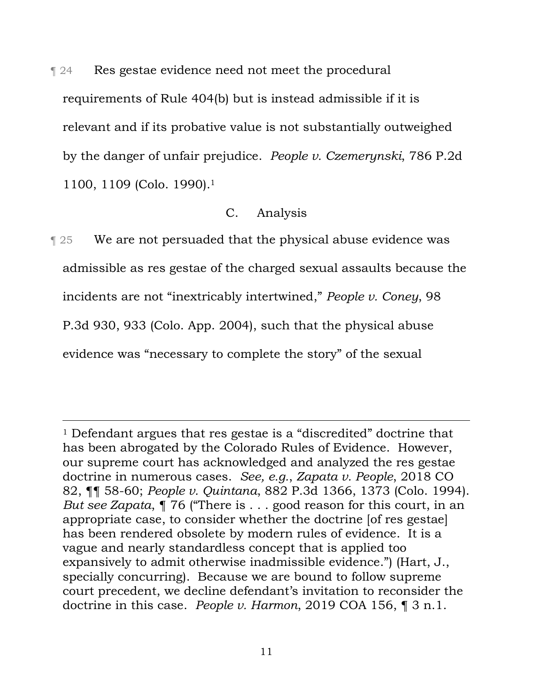¶ 24 Res gestae evidence need not meet the procedural requirements of Rule 404(b) but is instead admissible if it is relevant and if its probative value is not substantially outweighed by the danger of unfair prejudice. *People v. Czemerynski*, 786 P.2d 1100, 1109 (Colo. 1990).1

# C. Analysis

**Term 25** We are not persuaded that the physical abuse evidence was admissible as res gestae of the charged sexual assaults because the incidents are not "inextricably intertwined," *People v. Coney*, 98 P.3d 930, 933 (Colo. App. 2004), such that the physical abuse evidence was "necessary to complete the story" of the sexual

 <sup>1</sup> Defendant argues that res gestae is a "discredited" doctrine that has been abrogated by the Colorado Rules of Evidence. However, our supreme court has acknowledged and analyzed the res gestae doctrine in numerous cases. *See, e.g.*, *Zapata v. People*, 2018 CO 82, ¶¶ 58-60; *People v. Quintana*, 882 P.3d 1366, 1373 (Colo. 1994). *But see Zapata*, ¶ 76 ("There is . . . good reason for this court, in an appropriate case, to consider whether the doctrine [of res gestae] has been rendered obsolete by modern rules of evidence. It is a vague and nearly standardless concept that is applied too expansively to admit otherwise inadmissible evidence.") (Hart, J., specially concurring). Because we are bound to follow supreme court precedent, we decline defendant's invitation to reconsider the doctrine in this case. *People v. Harmon*, 2019 COA 156, ¶ 3 n.1.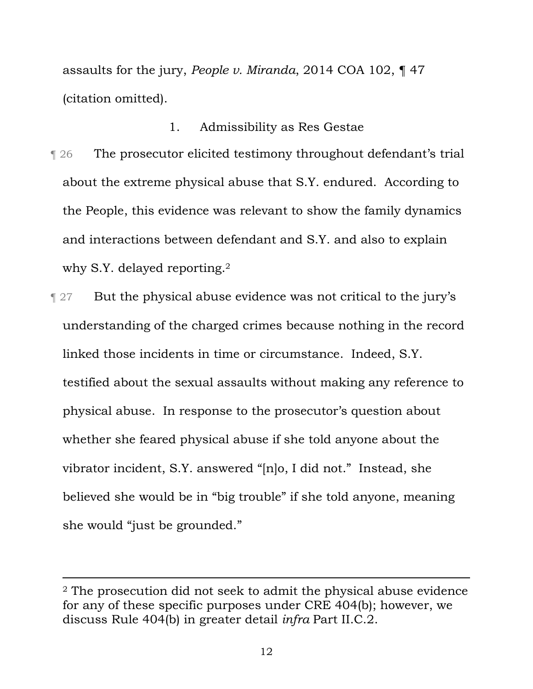assaults for the jury, *People v. Miranda*, 2014 COA 102, ¶ 47 (citation omitted).

#### 1. Admissibility as Res Gestae

- ¶ 26 The prosecutor elicited testimony throughout defendant's trial about the extreme physical abuse that S.Y. endured. According to the People, this evidence was relevant to show the family dynamics and interactions between defendant and S.Y. and also to explain why S.Y. delayed reporting.<sup>2</sup>
- ¶ 27 But the physical abuse evidence was not critical to the jury's understanding of the charged crimes because nothing in the record linked those incidents in time or circumstance. Indeed, S.Y. testified about the sexual assaults without making any reference to physical abuse. In response to the prosecutor's question about whether she feared physical abuse if she told anyone about the vibrator incident, S.Y. answered "[n]o, I did not." Instead, she believed she would be in "big trouble" if she told anyone, meaning she would "just be grounded."

 <sup>2</sup> The prosecution did not seek to admit the physical abuse evidence for any of these specific purposes under CRE 404(b); however, we discuss Rule 404(b) in greater detail *infra* Part II.C.2.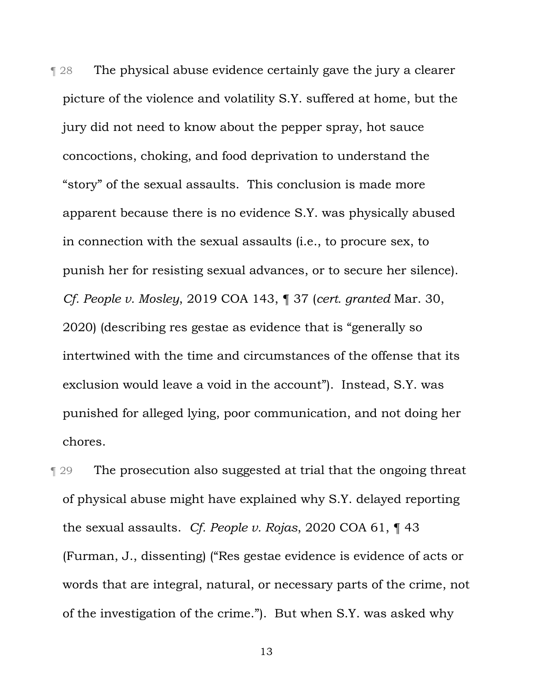¶ 28 The physical abuse evidence certainly gave the jury a clearer picture of the violence and volatility S.Y. suffered at home, but the jury did not need to know about the pepper spray, hot sauce concoctions, choking, and food deprivation to understand the "story" of the sexual assaults. This conclusion is made more apparent because there is no evidence S.Y. was physically abused in connection with the sexual assaults (i.e., to procure sex, to punish her for resisting sexual advances, or to secure her silence). *Cf. People v. Mosley*, 2019 COA 143, ¶ 37 (*cert. granted* Mar. 30, 2020) (describing res gestae as evidence that is "generally so intertwined with the time and circumstances of the offense that its exclusion would leave a void in the account"). Instead, S.Y. was punished for alleged lying, poor communication, and not doing her chores.

¶ 29 The prosecution also suggested at trial that the ongoing threat of physical abuse might have explained why S.Y. delayed reporting the sexual assaults. *Cf. People v. Rojas*, 2020 COA 61, ¶ 43 (Furman, J., dissenting) ("Res gestae evidence is evidence of acts or words that are integral, natural, or necessary parts of the crime, not of the investigation of the crime."). But when S.Y. was asked why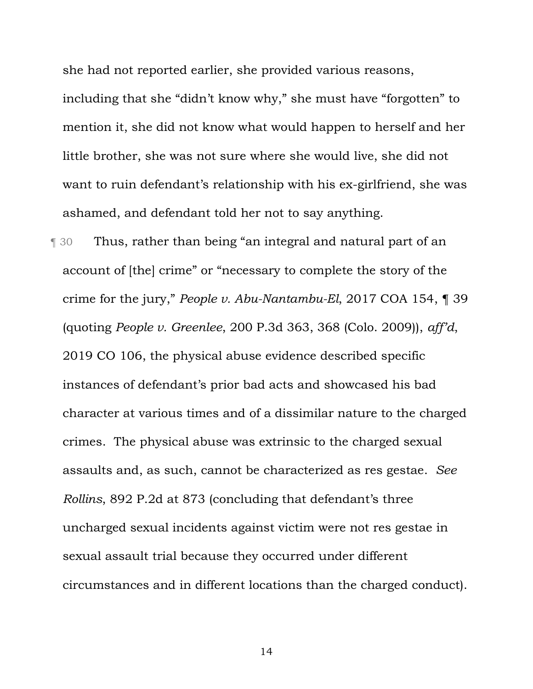she had not reported earlier, she provided various reasons,

including that she "didn't know why," she must have "forgotten" to mention it, she did not know what would happen to herself and her little brother, she was not sure where she would live, she did not want to ruin defendant's relationship with his ex-girlfriend, she was ashamed, and defendant told her not to say anything.

¶ 30 Thus, rather than being "an integral and natural part of an account of [the] crime" or "necessary to complete the story of the crime for the jury," *People v. Abu-Nantambu-El*, 2017 COA 154, ¶ 39 (quoting *People v. Greenlee*, 200 P.3d 363, 368 (Colo. 2009)), *aff'd*, 2019 CO 106, the physical abuse evidence described specific instances of defendant's prior bad acts and showcased his bad character at various times and of a dissimilar nature to the charged crimes. The physical abuse was extrinsic to the charged sexual assaults and, as such, cannot be characterized as res gestae. *See Rollins*, 892 P.2d at 873 (concluding that defendant's three uncharged sexual incidents against victim were not res gestae in sexual assault trial because they occurred under different circumstances and in different locations than the charged conduct).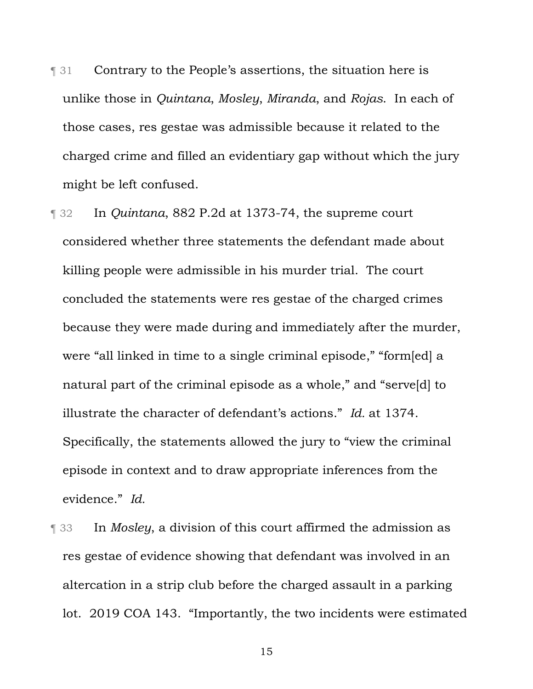- **The 31** Contrary to the People's assertions, the situation here is unlike those in *Quintana*, *Mosley*, *Miranda*, and *Rojas*. In each of those cases, res gestae was admissible because it related to the charged crime and filled an evidentiary gap without which the jury might be left confused.
- ¶ 32 In *Quintana*, 882 P.2d at 1373-74, the supreme court considered whether three statements the defendant made about killing people were admissible in his murder trial. The court concluded the statements were res gestae of the charged crimes because they were made during and immediately after the murder, were "all linked in time to a single criminal episode," "form[ed] a natural part of the criminal episode as a whole," and "serve[d] to illustrate the character of defendant's actions." *Id.* at 1374. Specifically, the statements allowed the jury to "view the criminal episode in context and to draw appropriate inferences from the evidence." *Id.*
- ¶ 33 In *Mosley*, a division of this court affirmed the admission as res gestae of evidence showing that defendant was involved in an altercation in a strip club before the charged assault in a parking lot. 2019 COA 143. "Importantly, the two incidents were estimated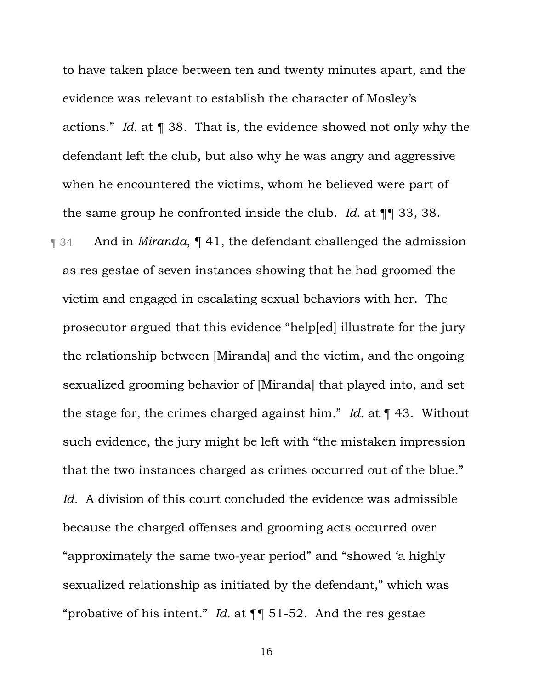to have taken place between ten and twenty minutes apart, and the evidence was relevant to establish the character of Mosley's actions." *Id.* at ¶ 38. That is, the evidence showed not only why the defendant left the club, but also why he was angry and aggressive when he encountered the victims, whom he believed were part of the same group he confronted inside the club. *Id.* at ¶¶ 33, 38.

¶ 34 And in *Miranda*, ¶ 41, the defendant challenged the admission as res gestae of seven instances showing that he had groomed the victim and engaged in escalating sexual behaviors with her. The prosecutor argued that this evidence "help[ed] illustrate for the jury the relationship between [Miranda] and the victim, and the ongoing sexualized grooming behavior of [Miranda] that played into, and set the stage for, the crimes charged against him." *Id.* at ¶ 43. Without such evidence, the jury might be left with "the mistaken impression that the two instances charged as crimes occurred out of the blue." *Id.* A division of this court concluded the evidence was admissible because the charged offenses and grooming acts occurred over "approximately the same two-year period" and "showed 'a highly sexualized relationship as initiated by the defendant," which was "probative of his intent." *Id.* at ¶¶ 51-52. And the res gestae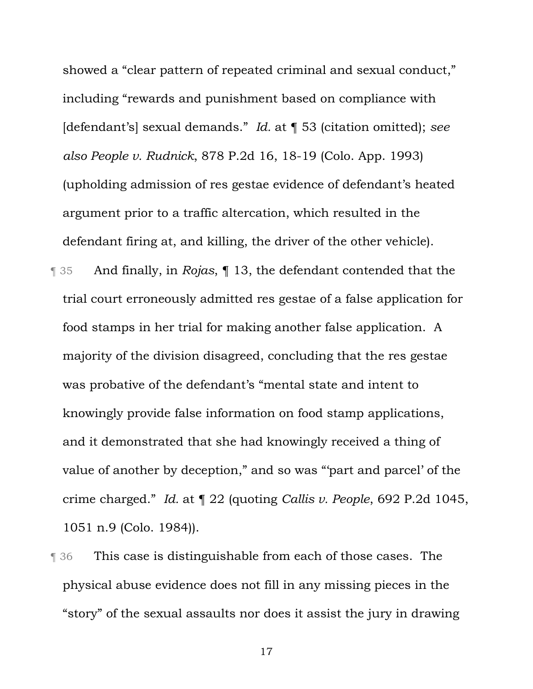showed a "clear pattern of repeated criminal and sexual conduct," including "rewards and punishment based on compliance with [defendant's] sexual demands." *Id.* at ¶ 53 (citation omitted); *see also People v. Rudnick*, 878 P.2d 16, 18-19 (Colo. App. 1993) (upholding admission of res gestae evidence of defendant's heated argument prior to a traffic altercation, which resulted in the defendant firing at, and killing, the driver of the other vehicle).

- ¶ 35 And finally, in *Rojas*, ¶ 13, the defendant contended that the trial court erroneously admitted res gestae of a false application for food stamps in her trial for making another false application. A majority of the division disagreed, concluding that the res gestae was probative of the defendant's "mental state and intent to knowingly provide false information on food stamp applications, and it demonstrated that she had knowingly received a thing of value of another by deception," and so was "'part and parcel' of the crime charged." *Id.* at ¶ 22 (quoting *Callis v. People*, 692 P.2d 1045, 1051 n.9 (Colo. 1984)).
- **This case is distinguishable from each of those cases. The** physical abuse evidence does not fill in any missing pieces in the "story" of the sexual assaults nor does it assist the jury in drawing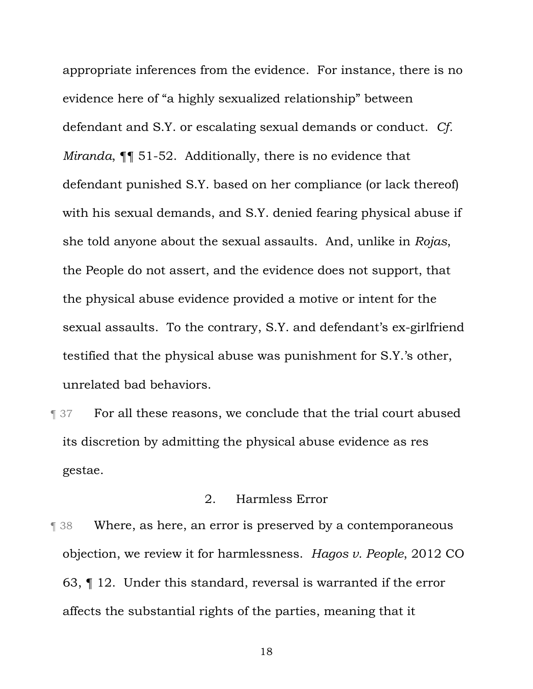appropriate inferences from the evidence. For instance, there is no evidence here of "a highly sexualized relationship" between defendant and S.Y. or escalating sexual demands or conduct. *Cf. Miranda*, ¶¶ 51-52. Additionally, there is no evidence that defendant punished S.Y. based on her compliance (or lack thereof) with his sexual demands, and S.Y. denied fearing physical abuse if she told anyone about the sexual assaults. And, unlike in *Rojas*, the People do not assert, and the evidence does not support, that the physical abuse evidence provided a motive or intent for the sexual assaults. To the contrary, S.Y. and defendant's ex-girlfriend testified that the physical abuse was punishment for S.Y.'s other, unrelated bad behaviors.

**Text** For all these reasons, we conclude that the trial court abused its discretion by admitting the physical abuse evidence as res gestae.

# 2. Harmless Error

**Term 38** Where, as here, an error is preserved by a contemporaneous objection, we review it for harmlessness. *Hagos v. People*, 2012 CO 63, ¶ 12. Under this standard, reversal is warranted if the error affects the substantial rights of the parties, meaning that it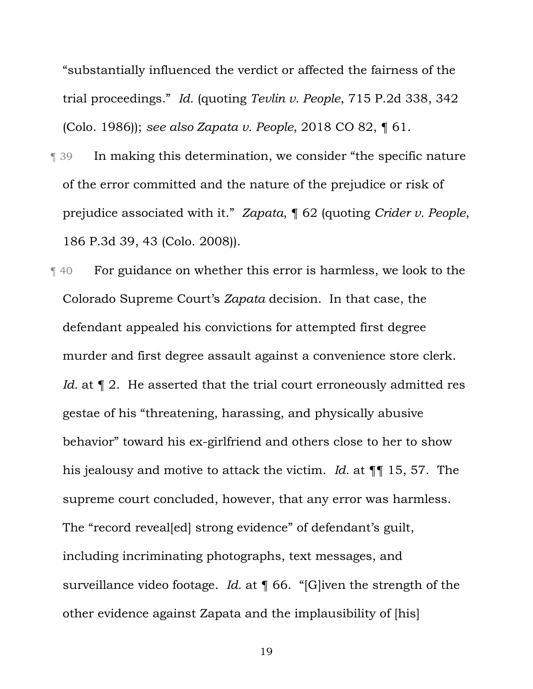"substantially influenced the verdict or affected the fairness of the trial proceedings." *Id.* (quoting *Tevlin v. People*, 715 P.2d 338, 342 (Colo. 1986)); *see also Zapata v. People*, 2018 CO 82, ¶ 61.

- ¶ 39 In making this determination, we consider "the specific nature of the error committed and the nature of the prejudice or risk of prejudice associated with it." *Zapata*, ¶ 62 (quoting *Crider v. People*, 186 P.3d 39, 43 (Colo. 2008)).
- ¶ 40 For guidance on whether this error is harmless, we look to the Colorado Supreme Court's *Zapata* decision. In that case, the defendant appealed his convictions for attempted first degree murder and first degree assault against a convenience store clerk. *Id.* at  $\P$  2. He asserted that the trial court erroneously admitted res gestae of his "threatening, harassing, and physically abusive behavior" toward his ex-girlfriend and others close to her to show his jealousy and motive to attack the victim. *Id.* at ¶¶ 15, 57. The supreme court concluded, however, that any error was harmless. The "record reveal [ed] strong evidence" of defendant's guilt, including incriminating photographs, text messages, and surveillance video footage. *Id.* at ¶ 66. "[G]iven the strength of the other evidence against Zapata and the implausibility of [his]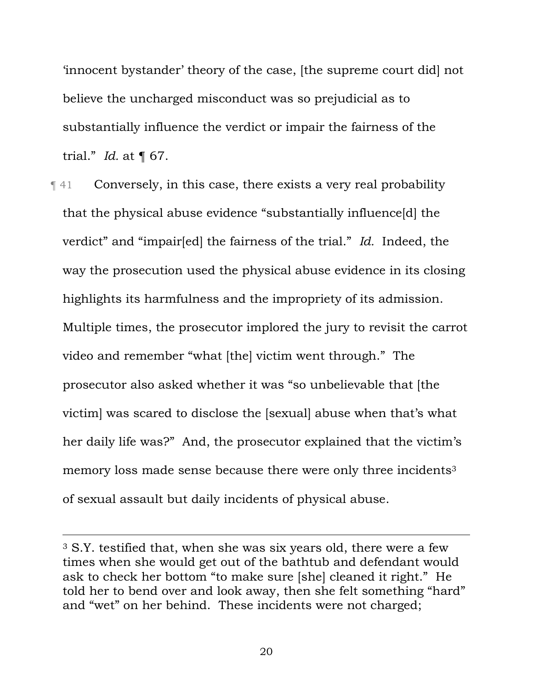'innocent bystander' theory of the case, [the supreme court did] not believe the uncharged misconduct was so prejudicial as to substantially influence the verdict or impair the fairness of the trial." *Id.* at ¶ 67.

¶ 41 Conversely, in this case, there exists a very real probability that the physical abuse evidence "substantially influence[d] the verdict" and "impair[ed] the fairness of the trial." *Id.* Indeed, the way the prosecution used the physical abuse evidence in its closing highlights its harmfulness and the impropriety of its admission. Multiple times, the prosecutor implored the jury to revisit the carrot video and remember "what [the] victim went through." The prosecutor also asked whether it was "so unbelievable that [the victim] was scared to disclose the [sexual] abuse when that's what her daily life was?" And, the prosecutor explained that the victim's memory loss made sense because there were only three incidents<sup>3</sup> of sexual assault but daily incidents of physical abuse.

 <sup>3</sup> S.Y. testified that, when she was six years old, there were a few times when she would get out of the bathtub and defendant would ask to check her bottom "to make sure [she] cleaned it right." He told her to bend over and look away, then she felt something "hard" and "wet" on her behind. These incidents were not charged;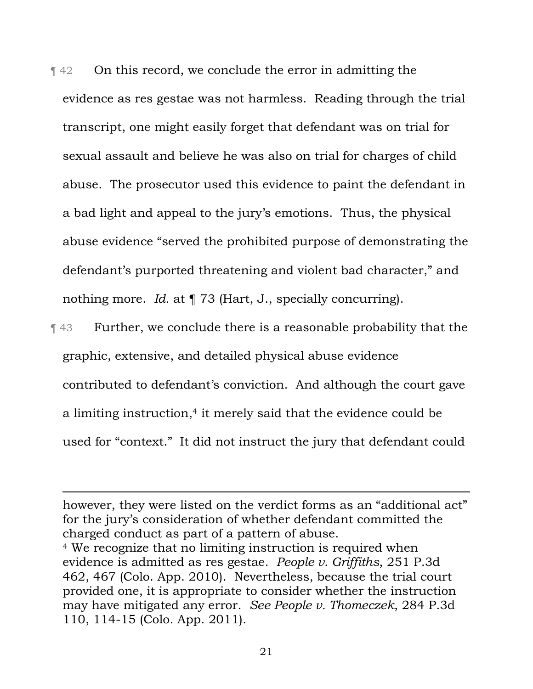¶ 42 On this record, we conclude the error in admitting the evidence as res gestae was not harmless. Reading through the trial transcript, one might easily forget that defendant was on trial for sexual assault and believe he was also on trial for charges of child abuse. The prosecutor used this evidence to paint the defendant in a bad light and appeal to the jury's emotions. Thus, the physical abuse evidence "served the prohibited purpose of demonstrating the defendant's purported threatening and violent bad character," and nothing more. *Id.* at ¶ 73 (Hart, J., specially concurring).

¶ 43 Further, we conclude there is a reasonable probability that the graphic, extensive, and detailed physical abuse evidence contributed to defendant's conviction. And although the court gave a limiting instruction,<sup>4</sup> it merely said that the evidence could be used for "context." It did not instruct the jury that defendant could

however, they were listed on the verdict forms as an "additional act" for the jury's consideration of whether defendant committed the charged conduct as part of a pattern of abuse. <sup>4</sup> We recognize that no limiting instruction is required when evidence is admitted as res gestae. *People v. Griffiths*, 251 P.3d 462, 467 (Colo. App. 2010). Nevertheless, because the trial court provided one, it is appropriate to consider whether the instruction may have mitigated any error. *See People v. Thomeczek*, 284 P.3d 110, 114-15 (Colo. App. 2011).

 $\overline{a}$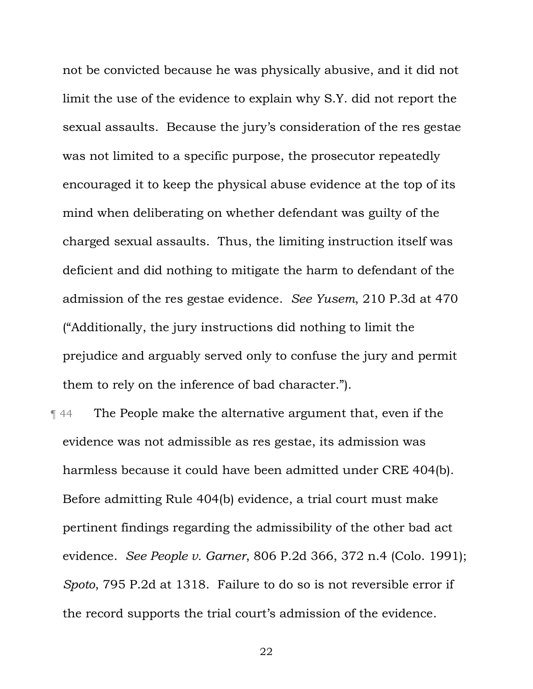not be convicted because he was physically abusive, and it did not limit the use of the evidence to explain why S.Y. did not report the sexual assaults. Because the jury's consideration of the res gestae was not limited to a specific purpose, the prosecutor repeatedly encouraged it to keep the physical abuse evidence at the top of its mind when deliberating on whether defendant was guilty of the charged sexual assaults. Thus, the limiting instruction itself was deficient and did nothing to mitigate the harm to defendant of the admission of the res gestae evidence. *See Yusem*, 210 P.3d at 470 ("Additionally, the jury instructions did nothing to limit the prejudice and arguably served only to confuse the jury and permit them to rely on the inference of bad character.").

¶ 44 The People make the alternative argument that, even if the evidence was not admissible as res gestae, its admission was harmless because it could have been admitted under CRE 404(b). Before admitting Rule 404(b) evidence, a trial court must make pertinent findings regarding the admissibility of the other bad act evidence. *See People v. Garner*, 806 P.2d 366, 372 n.4 (Colo. 1991); *Spoto*, 795 P.2d at 1318. Failure to do so is not reversible error if the record supports the trial court's admission of the evidence.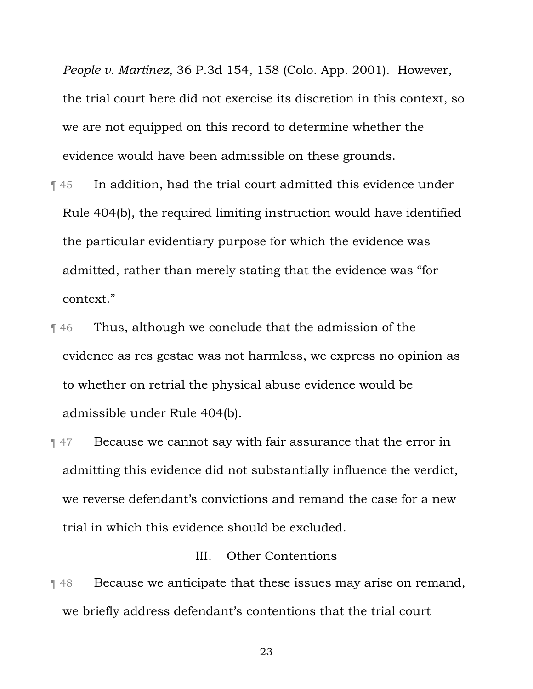*People v. Martinez*, 36 P.3d 154, 158 (Colo. App. 2001). However, the trial court here did not exercise its discretion in this context, so we are not equipped on this record to determine whether the evidence would have been admissible on these grounds.

- ¶ 45 In addition, had the trial court admitted this evidence under Rule 404(b), the required limiting instruction would have identified the particular evidentiary purpose for which the evidence was admitted, rather than merely stating that the evidence was "for context."
- **Thus, although we conclude that the admission of the** evidence as res gestae was not harmless, we express no opinion as to whether on retrial the physical abuse evidence would be admissible under Rule 404(b).
- **Text** 47 Because we cannot say with fair assurance that the error in admitting this evidence did not substantially influence the verdict, we reverse defendant's convictions and remand the case for a new trial in which this evidence should be excluded.

### III. Other Contentions

**The Because we anticipate that these issues may arise on remand,** we briefly address defendant's contentions that the trial court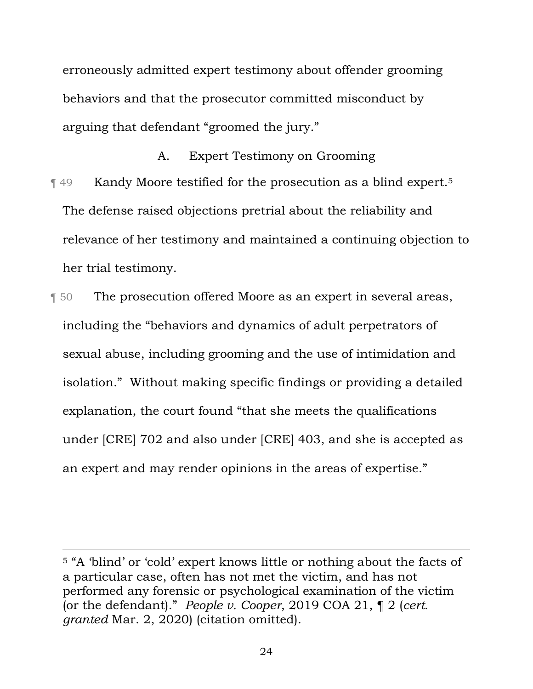erroneously admitted expert testimony about offender grooming behaviors and that the prosecutor committed misconduct by arguing that defendant "groomed the jury."

A. Expert Testimony on Grooming **The 49** Kandy Moore testified for the prosecution as a blind expert.<sup>5</sup> The defense raised objections pretrial about the reliability and relevance of her testimony and maintained a continuing objection to her trial testimony.

¶ 50 The prosecution offered Moore as an expert in several areas, including the "behaviors and dynamics of adult perpetrators of sexual abuse, including grooming and the use of intimidation and isolation." Without making specific findings or providing a detailed explanation, the court found "that she meets the qualifications under [CRE] 702 and also under [CRE] 403, and she is accepted as an expert and may render opinions in the areas of expertise."

 <sup>5</sup> "A 'blind' or 'cold' expert knows little or nothing about the facts of a particular case, often has not met the victim, and has not performed any forensic or psychological examination of the victim (or the defendant)." *People v. Cooper*, 2019 COA 21, ¶ 2 (*cert. granted* Mar. 2, 2020) (citation omitted).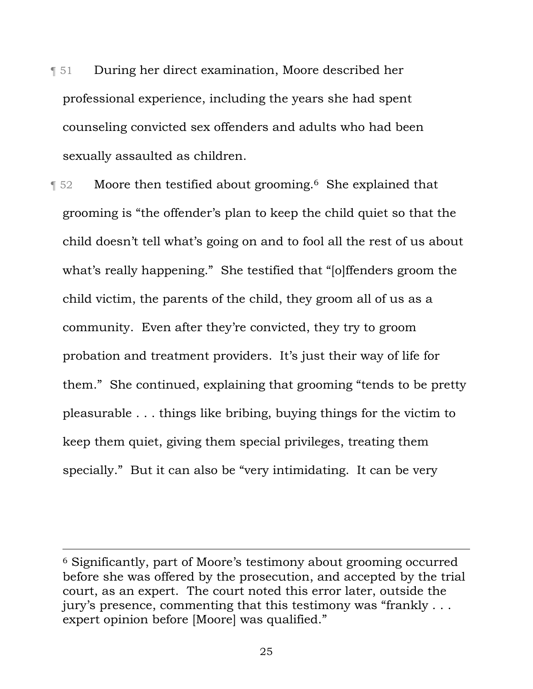¶ 51 During her direct examination, Moore described her professional experience, including the years she had spent counseling convicted sex offenders and adults who had been sexually assaulted as children.

**T** 52 Moore then testified about grooming.<sup>6</sup> She explained that grooming is "the offender's plan to keep the child quiet so that the child doesn't tell what's going on and to fool all the rest of us about what's really happening." She testified that "[o]ffenders groom the child victim, the parents of the child, they groom all of us as a community. Even after they're convicted, they try to groom probation and treatment providers. It's just their way of life for them." She continued, explaining that grooming "tends to be pretty pleasurable . . . things like bribing, buying things for the victim to keep them quiet, giving them special privileges, treating them specially." But it can also be "very intimidating. It can be very

 <sup>6</sup> Significantly, part of Moore's testimony about grooming occurred before she was offered by the prosecution, and accepted by the trial court, as an expert. The court noted this error later, outside the jury's presence, commenting that this testimony was "frankly . . . expert opinion before [Moore] was qualified."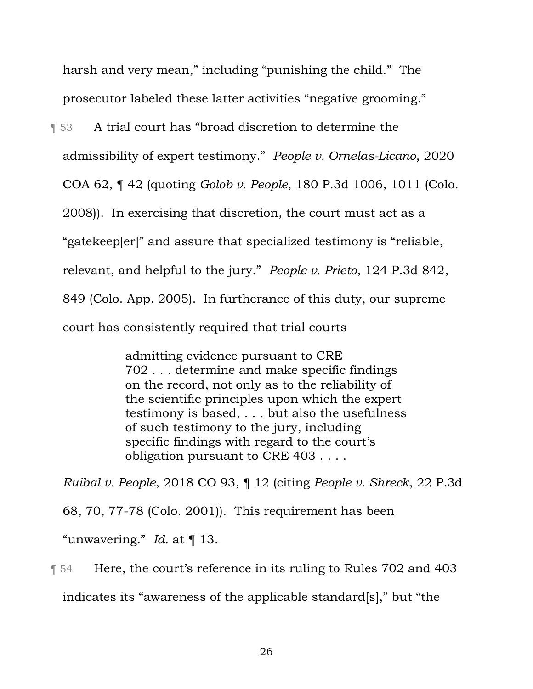harsh and very mean," including "punishing the child." The prosecutor labeled these latter activities "negative grooming."

¶ 53 A trial court has "broad discretion to determine the

admissibility of expert testimony." *People v. Ornelas-Licano*, 2020

COA 62, ¶ 42 (quoting *Golob v. People*, 180 P.3d 1006, 1011 (Colo.

2008)). In exercising that discretion, the court must act as a

"gatekeep[er]" and assure that specialized testimony is "reliable,

relevant, and helpful to the jury." *People v. Prieto*, 124 P.3d 842,

849 (Colo. App. 2005). In furtherance of this duty, our supreme

court has consistently required that trial courts

admitting evidence pursuant to CRE 702 . . . determine and make specific findings on the record, not only as to the reliability of the scientific principles upon which the expert testimony is based, . . . but also the usefulness of such testimony to the jury, including specific findings with regard to the court's obligation pursuant to CRE 403 . . . .

*Ruibal v. People*, 2018 CO 93, ¶ 12 (citing *People v. Shreck*, 22 P.3d 68, 70, 77-78 (Colo. 2001)). This requirement has been "unwavering." *Id.* at ¶ 13.

¶ 54 Here, the court's reference in its ruling to Rules 702 and 403 indicates its "awareness of the applicable standard[s]," but "the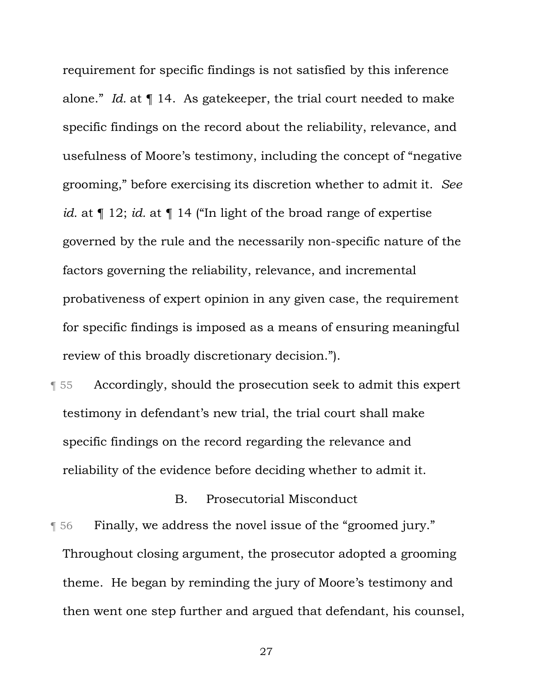requirement for specific findings is not satisfied by this inference alone." *Id.* at ¶ 14. As gatekeeper, the trial court needed to make specific findings on the record about the reliability, relevance, and usefulness of Moore's testimony, including the concept of "negative grooming," before exercising its discretion whether to admit it. *See id.* at ¶ 12; *id.* at ¶ 14 ("In light of the broad range of expertise governed by the rule and the necessarily non-specific nature of the factors governing the reliability, relevance, and incremental probativeness of expert opinion in any given case, the requirement for specific findings is imposed as a means of ensuring meaningful review of this broadly discretionary decision.").

¶ 55 Accordingly, should the prosecution seek to admit this expert testimony in defendant's new trial, the trial court shall make specific findings on the record regarding the relevance and reliability of the evidence before deciding whether to admit it.

B. Prosecutorial Misconduct

¶ 56 Finally, we address the novel issue of the "groomed jury." Throughout closing argument, the prosecutor adopted a grooming theme. He began by reminding the jury of Moore's testimony and then went one step further and argued that defendant, his counsel,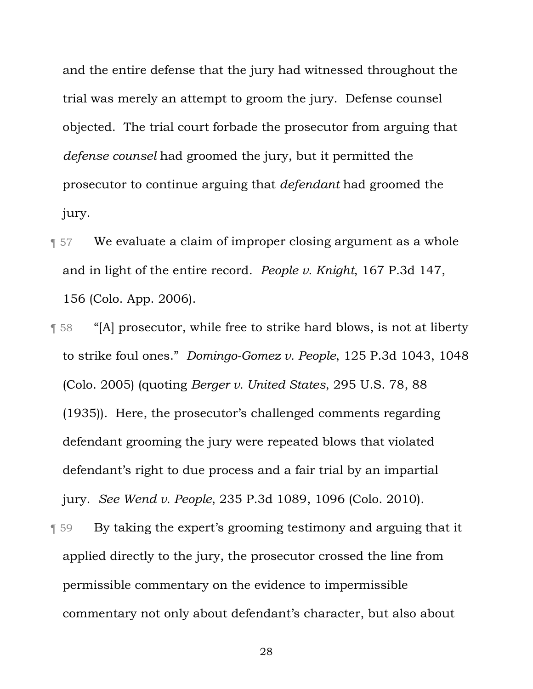and the entire defense that the jury had witnessed throughout the trial was merely an attempt to groom the jury. Defense counsel objected. The trial court forbade the prosecutor from arguing that *defense counsel* had groomed the jury, but it permitted the prosecutor to continue arguing that *defendant* had groomed the jury.

- ¶ 57 We evaluate a claim of improper closing argument as a whole and in light of the entire record. *People v. Knight*, 167 P.3d 147, 156 (Colo. App. 2006).
- ¶ 58 "[A] prosecutor, while free to strike hard blows, is not at liberty to strike foul ones." *Domingo-Gomez v. People*, 125 P.3d 1043, 1048 (Colo. 2005) (quoting *Berger v. United States*, 295 U.S. 78, 88 (1935)). Here, the prosecutor's challenged comments regarding defendant grooming the jury were repeated blows that violated defendant's right to due process and a fair trial by an impartial jury. *See Wend v. People*, 235 P.3d 1089, 1096 (Colo. 2010).
- ¶ 59 By taking the expert's grooming testimony and arguing that it applied directly to the jury, the prosecutor crossed the line from permissible commentary on the evidence to impermissible commentary not only about defendant's character, but also about